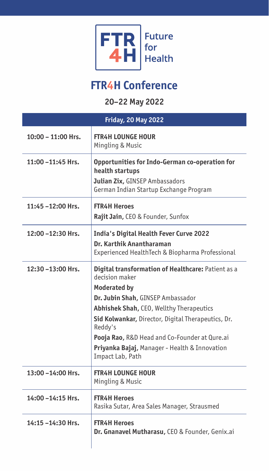

## **FTR4H Conference**

**20–22 May 2022**

| <b>Friday, 20 May 2022</b> |                                                                                                                                                                                                                                                                                                                                                                     |  |
|----------------------------|---------------------------------------------------------------------------------------------------------------------------------------------------------------------------------------------------------------------------------------------------------------------------------------------------------------------------------------------------------------------|--|
| 10:00 - 11:00 Hrs.         | <b>FTR4H LOUNGE HOUR</b><br>Mingling & Music                                                                                                                                                                                                                                                                                                                        |  |
| 11:00 –11:45 Hrs.          | Opportunities for Indo-German co-operation for<br>health startups<br><b>Julian Zix, GINSEP Ambassadors</b><br>German Indian Startup Exchange Program                                                                                                                                                                                                                |  |
| 11:45 -12:00 Hrs.          | <b>FTR4H Heroes</b><br><b>Rajit Jain, CEO &amp; Founder, Sunfox</b>                                                                                                                                                                                                                                                                                                 |  |
| 12:00 -12:30 Hrs.          | India's Digital Health Fever Curve 2022<br>Dr. Karthik Anantharaman<br>Experienced HealthTech & Biopharma Professional                                                                                                                                                                                                                                              |  |
| 12:30 -13:00 Hrs.          | Digital transformation of Healthcare: Patient as a<br>decision maker<br><b>Moderated by</b><br>Dr. Jubin Shah, GINSEP Ambassador<br>Abhishek Shah, CEO, Wellthy Therapeutics<br>Sid Kolwankar, Director, Digital Therapeutics, Dr.<br>Reddy's<br>Pooja Rao, R&D Head and Co-Founder at Qure.ai<br>Priyanka Bajaj, Manager - Health & Innovation<br>Impact Lab, Path |  |
| 13:00 -14:00 Hrs.          | <b>FTR4H LOUNGE HOUR</b><br>Mingling & Music                                                                                                                                                                                                                                                                                                                        |  |
| 14:00 - 14:15 Hrs.         | <b>FTR4H Heroes</b><br>Rasika Sutar, Area Sales Manager, Strausmed                                                                                                                                                                                                                                                                                                  |  |
| 14:15-14:30 Hrs.           | <b>FTR4H Heroes</b><br>Dr. Gnanavel Mutharasu, CEO & Founder, Genix.ai                                                                                                                                                                                                                                                                                              |  |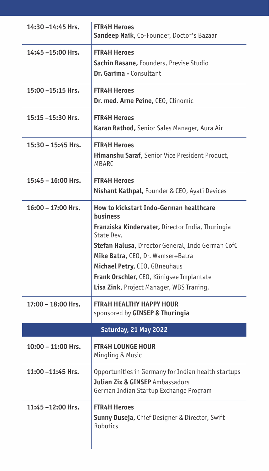| 14:30 - 14:45 Hrs. | <b>FTR4H Heroes</b><br>Sandeep Naik, Co-Founder, Doctor's Bazaar                                                                                                                                                                                                                                                                                |
|--------------------|-------------------------------------------------------------------------------------------------------------------------------------------------------------------------------------------------------------------------------------------------------------------------------------------------------------------------------------------------|
| 14:45 -15:00 Hrs.  | <b>FTR4H Heroes</b><br>Sachin Rasane, Founders, Previse Studio<br>Dr. Garima - Consultant                                                                                                                                                                                                                                                       |
| 15:00 - 15:15 Hrs. | <b>FTR4H Heroes</b><br>Dr. med. Arne Peine, CEO, Clinomic                                                                                                                                                                                                                                                                                       |
| 15:15 -15:30 Hrs.  | <b>FTR4H Heroes</b><br>Karan Rathod, Senior Sales Manager, Aura Air                                                                                                                                                                                                                                                                             |
| 15:30 - 15:45 Hrs. | <b>FTR4H Heroes</b><br>Himanshu Saraf, Senior Vice President Product,<br>MBARC                                                                                                                                                                                                                                                                  |
| 15:45 - 16:00 Hrs. | <b>FTR4H Heroes</b><br><b>Nishant Kathpal, Founder &amp; CEO, Ayati Devices</b>                                                                                                                                                                                                                                                                 |
| 16:00 - 17:00 Hrs. | <b>How to kickstart Indo-German healthcare</b><br>business<br>Franziska Kindervater, Director India, Thuringia<br>State Dev.<br>Stefan Halusa, Director General, Indo German CofC<br>Mike Batra, CEO, Dr. Wamser+Batra<br>Michael Petry, CEO, GBneuhaus<br>Frank Orschler, CEO, Königsee Implantate<br>Lisa Zink, Project Manager, WBS Traning, |
| 17:00 - 18:00 Hrs. | <b>FTR4H HEALTHY HAPPY HOUR</b><br>sponsored by GINSEP & Thuringia                                                                                                                                                                                                                                                                              |
|                    | Saturday, 21 May 2022                                                                                                                                                                                                                                                                                                                           |
| 10:00 - 11:00 Hrs. | <b>FTR4H LOUNGE HOUR</b><br>Mingling & Music                                                                                                                                                                                                                                                                                                    |
| 11:00 - 11:45 Hrs. | Opportunities in Germany for Indian health startups<br><b>Julian Zix &amp; GINSEP</b> Ambassadors<br>German Indian Startup Exchange Program                                                                                                                                                                                                     |
| 11:45-12:00 Hrs.   | <b>FTR4H Heroes</b><br>Sunny Duseja, Chief Designer & Director, Swift<br>Robotics                                                                                                                                                                                                                                                               |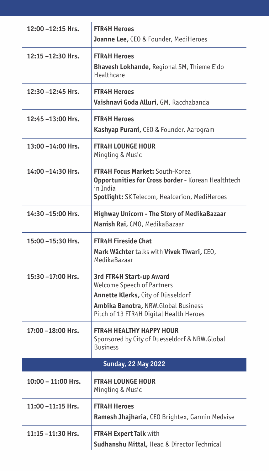| 12:00 - 12:15 Hrs.         | <b>FTR4H Heroes</b><br>Joanne Lee, CEO & Founder, MediHeroes                                                                                                                                 |  |
|----------------------------|----------------------------------------------------------------------------------------------------------------------------------------------------------------------------------------------|--|
| 12:15 -12:30 Hrs.          | <b>FTR4H Heroes</b><br>Bhavesh Lokhande, Regional SM, Thieme Eido<br>Healthcare                                                                                                              |  |
| 12:30 - 12:45 Hrs.         | <b>FTR4H Heroes</b><br>Vaishnavi Goda Alluri, GM, Racchabanda                                                                                                                                |  |
| 12:45 -13:00 Hrs.          | <b>FTR4H Heroes</b><br>Kashyap Purani, CEO & Founder, Aarogram                                                                                                                               |  |
| 13:00 - 14:00 Hrs.         | <b>FTR4H LOUNGE HOUR</b><br>Mingling & Music                                                                                                                                                 |  |
| 14:00 - 14:30 Hrs.         | <b>FTR4H Focus Market: South-Korea</b><br>Opportunities for Cross border - Korean Healthtech<br>in India<br>Spotlight: SK Telecom, Healcerion, MediHeroes                                    |  |
| 14:30-15:00 Hrs.           | Highway Unicorn - The Story of MedikaBazaar<br>Manish Rai, CMO, MedikaBazaar                                                                                                                 |  |
| 15:00 - 15:30 Hrs.         | <b>FTR4H Fireside Chat</b><br>Mark Wächter talks with Vivek Tiwari, CEO,<br>MedikaBazaar                                                                                                     |  |
| 15:30-17:00 Hrs.           | 3rd FTR4H Start-up Award<br><b>Welcome Speech of Partners</b><br>Annette Klerks, City of Düsseldorf<br><b>Ambika Banotra, NRW.Global Business</b><br>Pitch of 13 FTR4H Digital Health Heroes |  |
| 17:00 –18:00 Hrs.          | <b>FTR4H HEALTHY HAPPY HOUR</b><br>Sponsored by City of Duesseldorf & NRW.Global<br><b>Business</b>                                                                                          |  |
| <b>Sunday, 22 May 2022</b> |                                                                                                                                                                                              |  |
| 10:00 - 11:00 Hrs.         | <b>FTR4H LOUNGE HOUR</b><br>Mingling & Music                                                                                                                                                 |  |
| 11:00 -11:15 Hrs.          | <b>FTR4H Heroes</b><br>Ramesh Jhajharia, CEO Brightex, Garmin Medvise                                                                                                                        |  |
| 11:15 -11:30 Hrs.          | FTR4H Expert Talk with<br>Sudhanshu Mittal, Head & Director Technical                                                                                                                        |  |